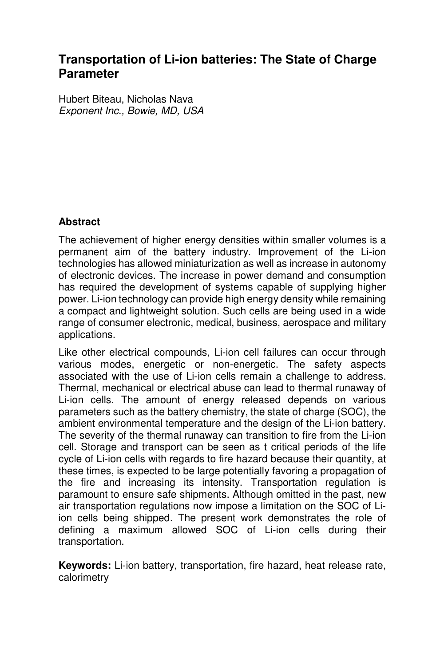# **Transportation of Li-ion batteries: The State of Charge Parameter**

Hubert Biteau, Nicholas Nava Exponent Inc., Bowie, MD, USA

## **Abstract**

The achievement of higher energy densities within smaller volumes is a permanent aim of the battery industry. Improvement of the Li-ion technologies has allowed miniaturization as well as increase in autonomy of electronic devices. The increase in power demand and consumption has required the development of systems capable of supplying higher power. Li-ion technology can provide high energy density while remaining a compact and lightweight solution. Such cells are being used in a wide range of consumer electronic, medical, business, aerospace and military applications.

Like other electrical compounds, Li-ion cell failures can occur through various modes, energetic or non-energetic. The safety aspects associated with the use of Li-ion cells remain a challenge to address. Thermal, mechanical or electrical abuse can lead to thermal runaway of Li-ion cells. The amount of energy released depends on various parameters such as the battery chemistry, the state of charge (SOC), the ambient environmental temperature and the design of the Li-ion battery. The severity of the thermal runaway can transition to fire from the Li-ion cell. Storage and transport can be seen as t critical periods of the life cycle of Li-ion cells with regards to fire hazard because their quantity, at these times, is expected to be large potentially favoring a propagation of the fire and increasing its intensity. Transportation regulation is paramount to ensure safe shipments. Although omitted in the past, new air transportation regulations now impose a limitation on the SOC of Liion cells being shipped. The present work demonstrates the role of defining a maximum allowed SOC of Li-ion cells during their transportation.

**Keywords:** Li-ion battery, transportation, fire hazard, heat release rate, calorimetry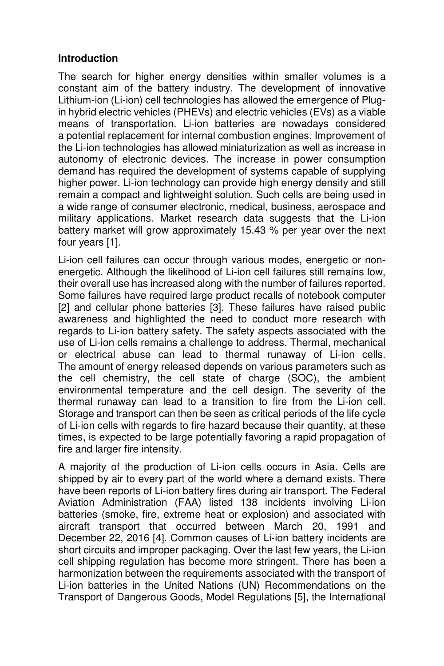### **Introduction**

The search for higher energy densities within smaller volumes is a constant aim of the battery industry. The development of innovative Lithium-ion (Li-ion) cell technologies has allowed the emergence of Plugin hybrid electric vehicles (PHEVs) and electric vehicles (EVs) as a viable means of transportation. Li-ion batteries are nowadays considered a potential replacement for internal combustion engines. Improvement of the Li-ion technologies has allowed miniaturization as well as increase in autonomy of electronic devices. The increase in power consumption demand has required the development of systems capable of supplying higher power. Li-ion technology can provide high energy density and still remain a compact and lightweight solution. Such cells are being used in a wide range of consumer electronic, medical, business, aerospace and military applications. Market research data suggests that the Li-ion battery market will grow approximately 15.43 % per year over the next four years [1].

Li-ion cell failures can occur through various modes, energetic or nonenergetic. Although the likelihood of Li-ion cell failures still remains low, their overall use has increased along with the number of failures reported. Some failures have required large product recalls of notebook computer [2] and cellular phone batteries [3]. These failures have raised public awareness and highlighted the need to conduct more research with regards to Li-ion battery safety. The safety aspects associated with the use of Li-ion cells remains a challenge to address. Thermal, mechanical or electrical abuse can lead to thermal runaway of Li-ion cells. The amount of energy released depends on various parameters such as the cell chemistry, the cell state of charge (SOC), the ambient environmental temperature and the cell design. The severity of the thermal runaway can lead to a transition to fire from the Li-ion cell. Storage and transport can then be seen as critical periods of the life cycle of Li-ion cells with regards to fire hazard because their quantity, at these times, is expected to be large potentially favoring a rapid propagation of fire and larger fire intensity.

A majority of the production of Li-ion cells occurs in Asia. Cells are shipped by air to every part of the world where a demand exists. There have been reports of Li-ion battery fires during air transport. The Federal Aviation Administration (FAA) listed 138 incidents involving Li-ion batteries (smoke, fire, extreme heat or explosion) and associated with aircraft transport that occurred between March 20, 1991 and December 22, 2016 [4]. Common causes of Li-ion battery incidents are short circuits and improper packaging. Over the last few years, the Li-ion cell shipping regulation has become more stringent. There has been a harmonization between the requirements associated with the transport of Li-ion batteries in the United Nations (UN) Recommendations on the Transport of Dangerous Goods, Model Regulations [5], the International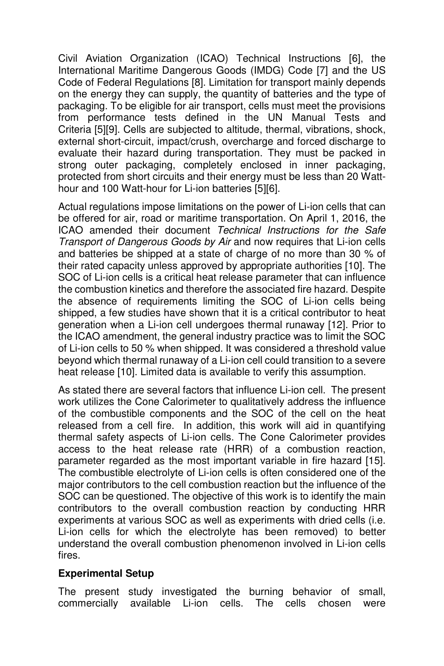Civil Aviation Organization (ICAO) Technical Instructions [6], the International Maritime Dangerous Goods (IMDG) Code [7] and the US Code of Federal Regulations [8]. Limitation for transport mainly depends on the energy they can supply, the quantity of batteries and the type of packaging. To be eligible for air transport, cells must meet the provisions from performance tests defined in the UN Manual Tests and Criteria [5][9]. Cells are subjected to altitude, thermal, vibrations, shock, external short-circuit, impact/crush, overcharge and forced discharge to evaluate their hazard during transportation. They must be packed in strong outer packaging, completely enclosed in inner packaging, protected from short circuits and their energy must be less than 20 Watthour and 100 Watt-hour for Li-ion batteries [5][6].

Actual regulations impose limitations on the power of Li-ion cells that can be offered for air, road or maritime transportation. On April 1, 2016, the ICAO amended their document Technical Instructions for the Safe Transport of Dangerous Goods by Air and now requires that Li-ion cells and batteries be shipped at a state of charge of no more than 30 % of their rated capacity unless approved by appropriate authorities [10]. The SOC of Li-ion cells is a critical heat release parameter that can influence the combustion kinetics and therefore the associated fire hazard. Despite the absence of requirements limiting the SOC of Li-ion cells being shipped, a few studies have shown that it is a critical contributor to heat generation when a Li-ion cell undergoes thermal runaway [12]. Prior to the ICAO amendment, the general industry practice was to limit the SOC of Li-ion cells to 50 % when shipped. It was considered a threshold value beyond which thermal runaway of a Li-ion cell could transition to a severe heat release [10]. Limited data is available to verify this assumption.

As stated there are several factors that influence Li-ion cell. The present work utilizes the Cone Calorimeter to qualitatively address the influence of the combustible components and the SOC of the cell on the heat released from a cell fire. In addition, this work will aid in quantifying thermal safety aspects of Li-ion cells. The Cone Calorimeter provides access to the heat release rate (HRR) of a combustion reaction, parameter regarded as the most important variable in fire hazard [15]. The combustible electrolyte of Li-ion cells is often considered one of the major contributors to the cell combustion reaction but the influence of the SOC can be questioned. The objective of this work is to identify the main contributors to the overall combustion reaction by conducting HRR experiments at various SOC as well as experiments with dried cells (i.e. Li-ion cells for which the electrolyte has been removed) to better understand the overall combustion phenomenon involved in Li-ion cells fires.

#### **Experimental Setup**

The present study investigated the burning behavior of small, commercially available Li-ion cells. The cells chosen were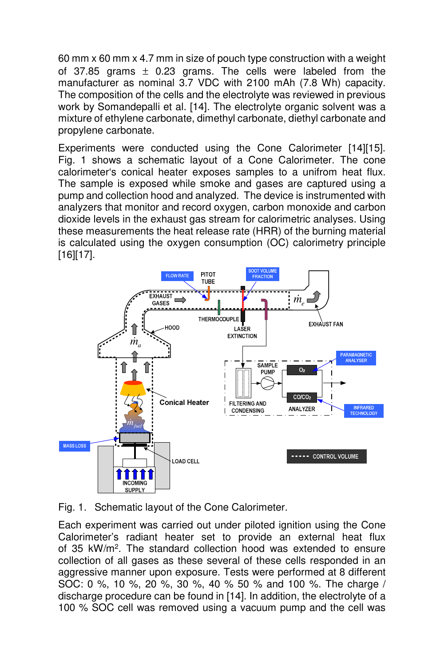60 mm x 60 mm x 4.7 mm in size of pouch type construction with a weight of 37.85 grams  $\pm$  0.23 grams. The cells were labeled from the manufacturer as nominal 3.7 VDC with 2100 mAh (7.8 Wh) capacity. The composition of the cells and the electrolyte was reviewed in previous work by Somandepalli et al. [14]. The electrolyte organic solvent was a mixture of ethylene carbonate, dimethyl carbonate, diethyl carbonate and propylene carbonate.

Experiments were conducted using the Cone Calorimeter [14][15]. Fig. 1 shows a schematic layout of a Cone Calorimeter. The cone calorimeter's conical heater exposes samples to a unifrom heat flux. The sample is exposed while smoke and gases are captured using a pump and collection hood and analyzed. The device is instrumented with analyzers that monitor and record oxygen, carbon monoxide and carbon dioxide levels in the exhaust gas stream for calorimetric analyses. Using these measurements the heat release rate (HRR) of the burning material is calculated using the oxygen consumption (OC) calorimetry principle [16][17].



Fig. 1. Schematic layout of the Cone Calorimeter.

Each experiment was carried out under piloted ignition using the Cone Calorimeter's radiant heater set to provide an external heat flux of 35 kW/m<sup>2</sup>. The standard collection hood was extended to ensure collection of all gases as these several of these cells responded in an aggressive manner upon exposure. Tests were performed at 8 different SOC: 0 %, 10 %, 20 %, 30 %, 40 % 50 % and 100 %. The charge / discharge procedure can be found in [14]. In addition, the electrolyte of a 100 % SOC cell was removed using a vacuum pump and the cell was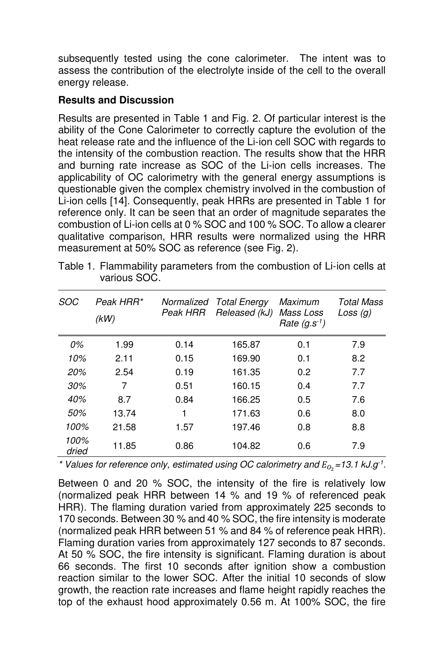subsequently tested using the cone calorimeter. The intent was to assess the contribution of the electrolyte inside of the cell to the overall energy release.

### **Results and Discussion**

Results are presented in Table 1 and Fig. 2. Of particular interest is the ability of the Cone Calorimeter to correctly capture the evolution of the heat release rate and the influence of the Li-ion cell SOC with regards to the intensity of the combustion reaction. The results show that the HRR and burning rate increase as SOC of the Li-ion cells increases. The applicability of OC calorimetry with the general energy assumptions is questionable given the complex chemistry involved in the combustion of Li-ion cells [14]. Consequently, peak HRRs are presented in Table 1 for reference only. It can be seen that an order of magnitude separates the combustion of Li-ion cells at 0 % SOC and 100 % SOC. To allow a clearer qualitative comparison, HRR results were normalized using the HRR measurement at 50% SOC as reference (see Fig. 2).

| SOC           | Peak HRR*<br>(kW) | Peak HRR | Normalized Total Energy<br>Released (kJ) | Maximum<br><i>Mass Loss</i><br>Rate $(g.s^{-1})$ | Total Mass<br>Loss $(q)$ |
|---------------|-------------------|----------|------------------------------------------|--------------------------------------------------|--------------------------|
| 0%            | 1.99              | 0.14     | 165.87                                   | 0.1                                              | 7.9                      |
| 10%           | 2.11              | 0.15     | 169.90                                   | 0.1                                              | 8.2                      |
| 20%           | 2.54              | 0.19     | 161.35                                   | 0.2                                              | 7.7                      |
| 30%           | 7                 | 0.51     | 160.15                                   | 0.4                                              | 7.7                      |
| 40%           | 8.7               | 0.84     | 166.25                                   | 0.5                                              | 7.6                      |
| 50%           | 13.74             | 1        | 171.63                                   | 0.6                                              | 8.0                      |
| 100%          | 21.58             | 1.57     | 197.46                                   | 0.8                                              | 8.8                      |
| 100%<br>dried | 11.85             | 0.86     | 104.82                                   | 0.6                                              | 7.9                      |

Table 1. Flammability parameters from the combustion of Li-ion cells at various SOC.

\* Values for reference only, estimated using OC calorimetry and  $E_{O_2} = 13.1$  kJ.g<sup>-1</sup>.

Between 0 and 20 % SOC, the intensity of the fire is relatively low (normalized peak HRR between 14 % and 19 % of referenced peak HRR). The flaming duration varied from approximately 225 seconds to 170 seconds. Between 30 % and 40 % SOC, the fire intensity is moderate (normalized peak HRR between 51 % and 84 % of reference peak HRR). Flaming duration varies from approximately 127 seconds to 87 seconds. At 50 % SOC, the fire intensity is significant. Flaming duration is about 66 seconds. The first 10 seconds after ignition show a combustion reaction similar to the lower SOC. After the initial 10 seconds of slow growth, the reaction rate increases and flame height rapidly reaches the top of the exhaust hood approximately 0.56 m. At 100% SOC, the fire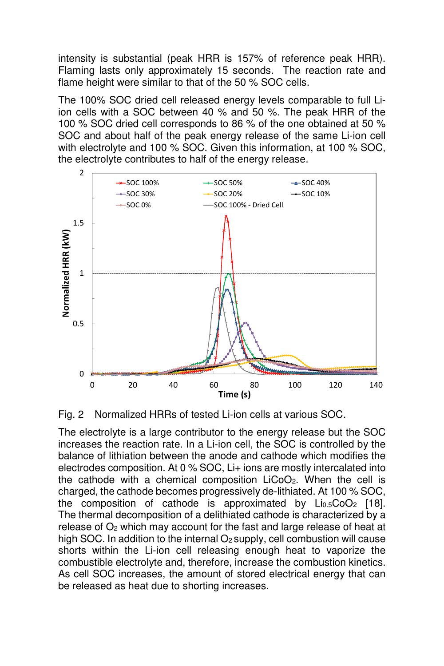intensity is substantial (peak HRR is 157% of reference peak HRR). Flaming lasts only approximately 15 seconds. The reaction rate and flame height were similar to that of the 50 % SOC cells.

The 100% SOC dried cell released energy levels comparable to full Liion cells with a SOC between 40 % and 50 %. The peak HRR of the 100 % SOC dried cell corresponds to 86 % of the one obtained at 50 % SOC and about half of the peak energy release of the same Li-ion cell with electrolyte and 100 % SOC. Given this information, at 100 % SOC, the electrolyte contributes to half of the energy release.



Fig. 2 Normalized HRRs of tested Li-ion cells at various SOC.

The electrolyte is a large contributor to the energy release but the SOC increases the reaction rate. In a Li-ion cell, the SOC is controlled by the balance of lithiation between the anode and cathode which modifies the electrodes composition. At 0 % SOC, Li+ ions are mostly intercalated into the cathode with a chemical composition LiCoO2. When the cell is charged, the cathode becomes progressively de-lithiated. At 100 % SOC, the composition of cathode is approximated by  $Li<sub>0.5</sub>Co<sub>2</sub>$  [18]. The thermal decomposition of a delithiated cathode is characterized by a release of O<sub>2</sub> which may account for the fast and large release of heat at high SOC. In addition to the internal  $O<sub>2</sub>$  supply, cell combustion will cause shorts within the Li-ion cell releasing enough heat to vaporize the combustible electrolyte and, therefore, increase the combustion kinetics. As cell SOC increases, the amount of stored electrical energy that can be released as heat due to shorting increases.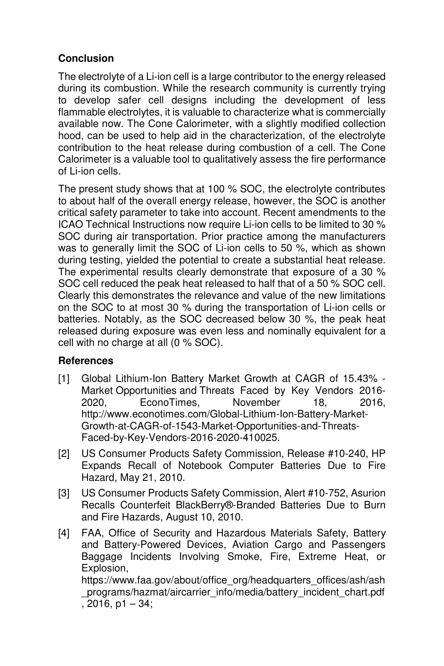# **Conclusion**

The electrolyte of a Li-ion cell is a large contributor to the energy released during its combustion. While the research community is currently trying to develop safer cell designs including the development of less flammable electrolytes, it is valuable to characterize what is commercially available now. The Cone Calorimeter, with a slightly modified collection hood, can be used to help aid in the characterization, of the electrolyte contribution to the heat release during combustion of a cell. The Cone Calorimeter is a valuable tool to qualitatively assess the fire performance of Li-ion cells.

The present study shows that at 100 % SOC, the electrolyte contributes to about half of the overall energy release, however, the SOC is another critical safety parameter to take into account. Recent amendments to the ICAO Technical Instructions now require Li-ion cells to be limited to 30 % SOC during air transportation. Prior practice among the manufacturers was to generally limit the SOC of Li-ion cells to 50 %, which as shown during testing, yielded the potential to create a substantial heat release. The experimental results clearly demonstrate that exposure of a 30 % SOC cell reduced the peak heat released to half that of a 50 % SOC cell. Clearly this demonstrates the relevance and value of the new limitations on the SOC to at most 30 % during the transportation of Li-ion cells or batteries. Notably, as the SOC decreased below 30 %, the peak heat released during exposure was even less and nominally equivalent for a cell with no charge at all (0 % SOC).

# **References**

- [1] Global Lithium-Ion Battery Market Growth at CAGR of 15.43% Market Opportunities and Threats Faced by Key Vendors 2016- 2020, EconoTimes, November 18, 2016, http://www.econotimes.com/Global-Lithium-Ion-Battery-Market-Growth-at-CAGR-of-1543-Market-Opportunities-and-Threats-Faced-by-Key-Vendors-2016-2020-410025.
- [2] US Consumer Products Safety Commission, Release #10-240, HP Expands Recall of Notebook Computer Batteries Due to Fire Hazard, May 21, 2010.
- [3] US Consumer Products Safety Commission, Alert #10-752, Asurion Recalls Counterfeit BlackBerry®-Branded Batteries Due to Burn and Fire Hazards, August 10, 2010.
- [4] FAA, Office of Security and Hazardous Materials Safety, Battery and Battery-Powered Devices, Aviation Cargo and Passengers Baggage Incidents Involving Smoke, Fire, Extreme Heat, or Explosion, https://www.faa.gov/about/office\_org/headquarters\_offices/ash/ash programs/hazmat/aircarrier\_info/media/battery\_incident\_chart.pdf

```
, 2016, p1 – 34;
```